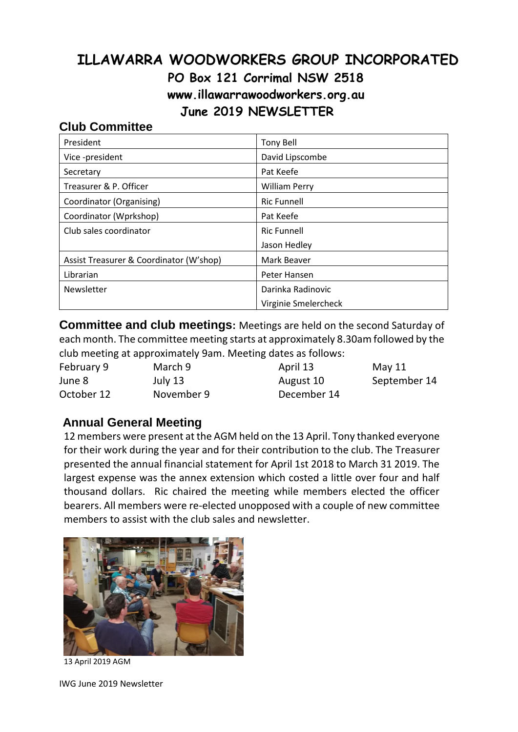# **ILLAWARRA WOODWORKERS GROUP INCORPORATED PO Box 121 Corrimal NSW 2518 www.illawarrawoodworkers.org.au June 2019 NEWSLETTER**

#### **Club Committee**

| President                               | <b>Tony Bell</b>     |  |
|-----------------------------------------|----------------------|--|
| Vice -president                         | David Lipscombe      |  |
| Secretary                               | Pat Keefe            |  |
| Treasurer & P. Officer                  | <b>William Perry</b> |  |
| Coordinator (Organising)                | <b>Ric Funnell</b>   |  |
| Coordinator (Wprkshop)                  | Pat Keefe            |  |
| Club sales coordinator                  | <b>Ric Funnell</b>   |  |
|                                         | Jason Hedley         |  |
| Assist Treasurer & Coordinator (W'shop) | Mark Beaver          |  |
| Librarian                               | Peter Hansen         |  |
| Newsletter                              | Darinka Radinovic    |  |
|                                         | Virginie Smelercheck |  |

**Committee and club meetings:** Meetings are held on the second Saturday of each month. The committee meeting starts at approximately 8.30am followed by the club meeting at approximately 9am. Meeting dates as follows:

| February 9 | March 9    | April 13    | May 11       |
|------------|------------|-------------|--------------|
| June 8     | July 13    | August 10   | September 14 |
| October 12 | November 9 | December 14 |              |

## **Annual General Meeting**

12 members were present at the AGM held on the 13 April. Tony thanked everyone for their work during the year and for their contribution to the club. The Treasurer presented the annual financial statement for April 1st 2018 to March 31 2019. The largest expense was the annex extension which costed a little over four and half thousand dollars. Ric chaired the meeting while members elected the officer bearers. All members were re-elected unopposed with a couple of new committee members to assist with the club sales and newsletter.



13 April 2019 AGM

IWG June 2019 Newsletter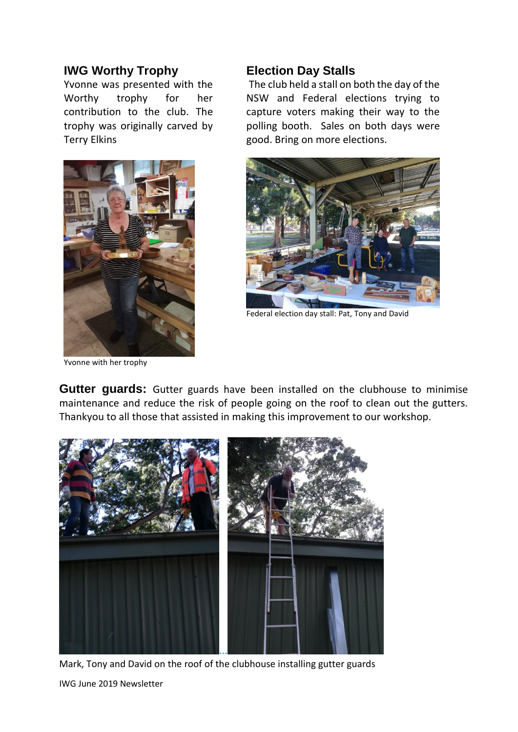#### **IWG Worthy Trophy**

Yvonne was presented with the Worthy trophy for her contribution to the club. The trophy was originally carved by Terry Elkins



Yvonne with her trophy

#### **Election Day Stalls**

The club held a stall on both the day of the NSW and Federal elections trying to capture voters making their way to the polling booth. Sales on both days were good. Bring on more elections.



Federal election day stall: Pat, Tony and David

**Gutter guards:** Gutter guards have been installed on the clubhouse to minimise maintenance and reduce the risk of people going on the roof to clean out the gutters. Thankyou to all those that assisted in making this improvement to our workshop.



IWG June 2019 Newsletter Mark, Tony and David on the roof of the clubhouse installing gutter guards